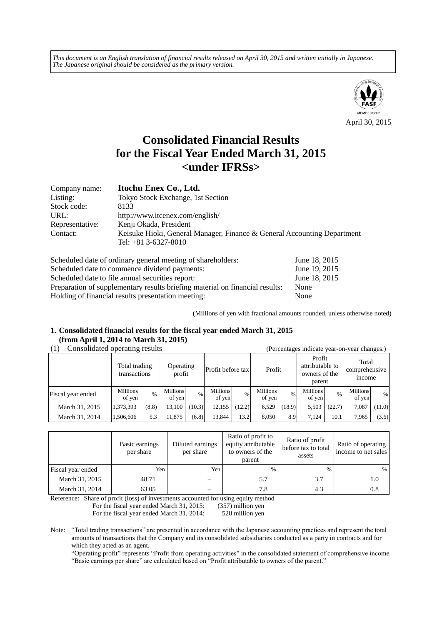*This document is an English translation of financial results released on April 30, 2015 and written initially in Japanese. The Japanese original should be considered as the primary version.*



# **Consolidated Financial Results for the Fiscal Year Ended March 31, 2015 <under IFRSs>**

| Company name:   | Itochu Enex Co., Ltd.                                                                             |
|-----------------|---------------------------------------------------------------------------------------------------|
| Listing:        | Tokyo Stock Exchange, 1st Section                                                                 |
| Stock code:     | 8133                                                                                              |
| URL:            | http://www.itcenex.com/english/                                                                   |
| Representative: | Kenji Okada, President                                                                            |
| Contact:        | Keisuke Hioki, General Manager, Finance & General Accounting Department<br>Tel: $+81$ 3-6327-8010 |

| Scheduled date of ordinary general meeting of shareholders:                  | June 18, 2015 |
|------------------------------------------------------------------------------|---------------|
| Scheduled date to commence dividend payments:                                | June 19, 2015 |
| Scheduled date to file annual securities report:                             | June 18, 2015 |
| Preparation of supplementary results briefing material on financial results: | None          |
| Holding of financial results presentation meeting:                           | None          |

(Millions of yen with fractional amounts rounded, unless otherwise noted)

## **1. Consolidated financial results for the fiscal year ended March 31, 2015 (from April 1, 2014 to March 31, 2015)**

|  | (1) | Consolidated operating results |  |
|--|-----|--------------------------------|--|
|--|-----|--------------------------------|--|

| Consolidated operating results |                               |       |                     |        |                           | (Percentages indicate year-on-year changes.) |                    |        |                                                      |        |                                         |        |
|--------------------------------|-------------------------------|-------|---------------------|--------|---------------------------|----------------------------------------------|--------------------|--------|------------------------------------------------------|--------|-----------------------------------------|--------|
|                                | Total trading<br>transactions |       | Operating<br>profit |        | Profit before tax         |                                              | Profit             |        | Profit<br>attributable to<br>owners of the<br>parent |        | Total<br>comprehensive<br><i>n</i> come |        |
| Fiscal year ended              | <b>Millions</b><br>of yen     | %     | Millions<br>of yen  | $\%$   | <b>Millions</b><br>of yen | %                                            | Millions<br>of yen | $\%$   | Millions<br>of yen                                   | $\%$   | Millions<br>of yen                      | $\%$   |
| March 31, 2015                 | 1,373,393                     | (8.8) | 13,100              | (10.3) | 12,155                    | (12.2)                                       | 6,529              | (18.9) | 5,503                                                | (22.7) | 7,087                                   | (11.0) |
| March 31, 2014                 | 1,506,606                     | 5.3   | 11,875              | (6.8)  | 13,844                    | 13.2                                         | 8,050              | 8.9    | 7.124                                                | 10.1   | 7.965                                   | (3.6)  |

|                   | Basic earnings<br>per share | Diluted earnings<br>per share | Ratio of profit to<br>equity attributable<br>to owners of the<br>parent | Ratio of profit<br>before tax to total<br>assets | Ratio of operating<br>income to net sales |
|-------------------|-----------------------------|-------------------------------|-------------------------------------------------------------------------|--------------------------------------------------|-------------------------------------------|
| Fiscal year ended | Yen                         | Yen                           | $\frac{0}{0}$                                                           | $\%$                                             | %                                         |
| March 31, 2015    | 48.71                       |                               | 5.7                                                                     | 3.7                                              | 1.0                                       |
| March 31, 2014    | 63.05                       |                               | 7.8                                                                     | 4.3                                              | 0.8                                       |

Reference: Share of profit (loss) of investments accounted for using equity method

For the fiscal year ended March 31, 2015: (357) million yen

For the fiscal year ended March 31, 2014: 528 million yen

Note: "Total trading transactions" are presented in accordance with the Japanese accounting practices and represent the total amounts of transactions that the Company and its consolidated subsidiaries conducted as a party in contracts and for which they acted as an agent.

"Operating profit" represents "Profit from operating activities" in the consolidated statement of comprehensive income. "Basic earnings per share" are calculated based on "Profit attributable to owners of the parent."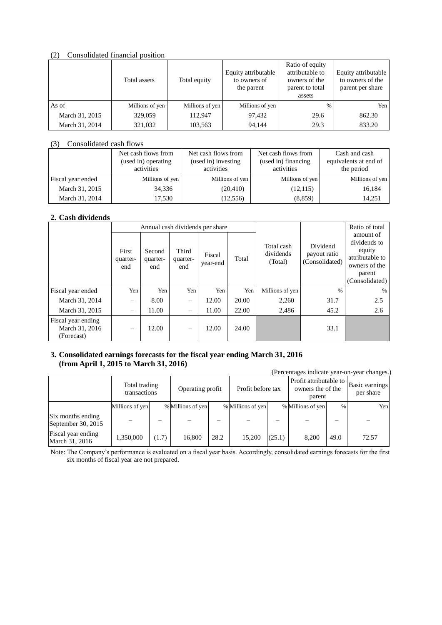### (2) Consolidated financial position

|                | Total assets    | Total equity    | Equity attributable<br>to owners of<br>the parent | Ratio of equity<br>attributable to<br>owners of the<br>parent to total<br>assets | Equity attributable<br>to owners of the<br>parent per share |
|----------------|-----------------|-----------------|---------------------------------------------------|----------------------------------------------------------------------------------|-------------------------------------------------------------|
| As of          | Millions of yen | Millions of yen | Millions of yen                                   | $\frac{0}{0}$                                                                    | Yen                                                         |
| March 31, 2015 | 329,059         | 112,947         | 97,432                                            | 29.6                                                                             | 862.30                                                      |
| March 31, 2014 | 321,032         | 103,563         | 94,144                                            | 29.3                                                                             | 833.20                                                      |

### (3) Consolidated cash flows

|                   | Net cash flows from<br>(used in) operating<br>activities | Net cash flows from<br>(used in) investing<br>activities | Net cash flows from<br>(used in) financing<br>activities | Cash and cash<br>equivalents at end of<br>the period |
|-------------------|----------------------------------------------------------|----------------------------------------------------------|----------------------------------------------------------|------------------------------------------------------|
| Fiscal year ended | Millions of yen                                          | Millions of yen                                          | Millions of yen                                          | Millions of yen                                      |
| March 31, 2015    | 34,336                                                   | (20, 410)                                                | (12,115)                                                 | 16,184                                               |
| March 31, 2014    | 17,530                                                   | (12, 556)                                                | (8, 859)                                                 | 14.251                                               |

## **2. Cash dividends**

|                                                    | Annual cash dividends per share |                           |                          |                    |       |                                    |                                            | Ratio of total                                                                                      |
|----------------------------------------------------|---------------------------------|---------------------------|--------------------------|--------------------|-------|------------------------------------|--------------------------------------------|-----------------------------------------------------------------------------------------------------|
|                                                    | First<br>quarter-<br>end        | Second<br>quarter-<br>end | Third<br>quarter-<br>end | Fiscal<br>year-end | Total | Total cash<br>dividends<br>(Total) | Dividend<br>payout ratio<br>(Consolidated) | amount of<br>dividends to<br>equity<br>attributable to<br>owners of the<br>parent<br>(Consolidated) |
| Fiscal year ended                                  | Yen                             | Yen                       | Yen I                    | Yen                | Yen   | Millions of yen                    | $\%$                                       | $\%$                                                                                                |
| March 31, 2014                                     | $\overline{\phantom{0}}$        | 8.00                      | -                        | 12.00              | 20.00 | 2,260                              | 31.7                                       | 2.5                                                                                                 |
| March 31, 2015                                     | $\overline{\phantom{m}}$        | 11.00                     | -                        | 11.00              | 22.00 | 2,486                              | 45.2                                       | 2.6                                                                                                 |
| Fiscal year ending<br>March 31, 2016<br>(Forecast) | $\overline{\phantom{m}}$        | 12.00                     |                          | 12.00              | 24.00 |                                    | 33.1                                       |                                                                                                     |

## **3. Consolidated earnings forecasts for the fiscal year ending March 31, 2016 (from April 1, 2015 to March 31, 2016)**

|                                         |                 |                               |                   |                  |                   |                   |                   |                                                       | (Percentages indicate year-on-year changes.) |
|-----------------------------------------|-----------------|-------------------------------|-------------------|------------------|-------------------|-------------------|-------------------|-------------------------------------------------------|----------------------------------------------|
|                                         |                 | Total trading<br>transactions |                   | Operating profit |                   | Profit before tax |                   | Profit attributable to<br>owners the of the<br>parent |                                              |
|                                         | Millions of yen |                               | % Millions of yen |                  | % Millions of yen |                   | % Millions of yen | %                                                     | Yen                                          |
| Six months ending<br>September 30, 2015 |                 |                               |                   |                  |                   |                   |                   |                                                       |                                              |
| Fiscal year ending<br>March 31, 2016    | 1,350,000       | (1.7)                         | 16,800            | 28.2             | 15,200            | (25.1)            | 8.200             | 49.0                                                  | 72.57                                        |

Note: The Company's performance is evaluated on a fiscal year basis. Accordingly, consolidated earnings forecasts for the first six months of fiscal year are not prepared.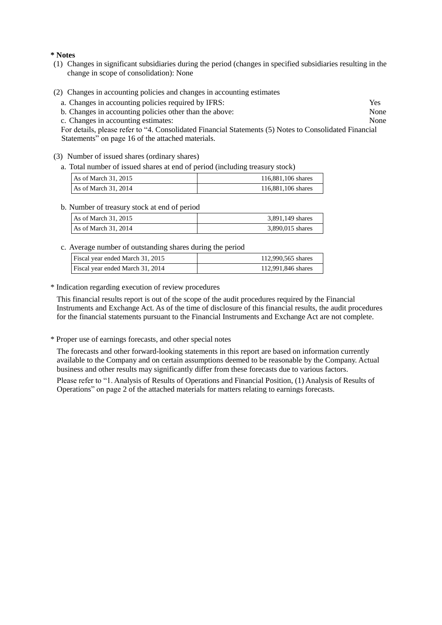#### **\* Notes**

- (1) Changes in significant subsidiaries during the period (changes in specified subsidiaries resulting in the change in scope of consolidation): None
- (2) Changes in accounting policies and changes in accounting estimates
	- a. Changes in accounting policies required by IFRS: Yes<br>
	b Changes in accounting policies other than the above: None
	- b. Changes in accounting policies other than the above:
	- c. Changes in accounting estimates: None

For details, please refer to "4. Consolidated Financial Statements (5) Notes to Consolidated Financial Statements" on page 16 of the attached materials.

- (3) Number of issued shares (ordinary shares)
	- a. Total number of issued shares at end of period (including treasury stock)

| As of March $31, 2015$ | 116,881,106 shares |
|------------------------|--------------------|
| As of March $31, 2014$ | 116,881,106 shares |

b. Number of treasury stock at end of period

| As of March $31, 2015$ | 3,891,149 shares |
|------------------------|------------------|
| As of March $31, 2014$ | 3,890,015 shares |

c. Average number of outstanding shares during the period

| Fiscal year ended March 31, 2015 | 112,990,565 shares |
|----------------------------------|--------------------|
| Fiscal year ended March 31, 2014 | 112,991,846 shares |

\* Indication regarding execution of review procedures

This financial results report is out of the scope of the audit procedures required by the Financial Instruments and Exchange Act. As of the time of disclosure of this financial results, the audit procedures for the financial statements pursuant to the Financial Instruments and Exchange Act are not complete.

\* Proper use of earnings forecasts, and other special notes

The forecasts and other forward-looking statements in this report are based on information currently available to the Company and on certain assumptions deemed to be reasonable by the Company. Actual business and other results may significantly differ from these forecasts due to various factors.

Please refer to "1. Analysis of Results of Operations and Financial Position, (1) Analysis of Results of Operations" on page 2 of the attached materials for matters relating to earnings forecasts.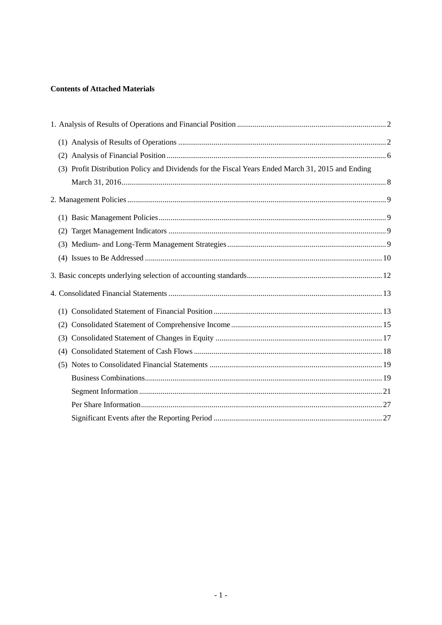## **Contents of Attached Materials**

| (3) Profit Distribution Policy and Dividends for the Fiscal Years Ended March 31, 2015 and Ending |  |
|---------------------------------------------------------------------------------------------------|--|
|                                                                                                   |  |
|                                                                                                   |  |
|                                                                                                   |  |
|                                                                                                   |  |
|                                                                                                   |  |
|                                                                                                   |  |
|                                                                                                   |  |
|                                                                                                   |  |
|                                                                                                   |  |
|                                                                                                   |  |
|                                                                                                   |  |
|                                                                                                   |  |
|                                                                                                   |  |
|                                                                                                   |  |
|                                                                                                   |  |
|                                                                                                   |  |
|                                                                                                   |  |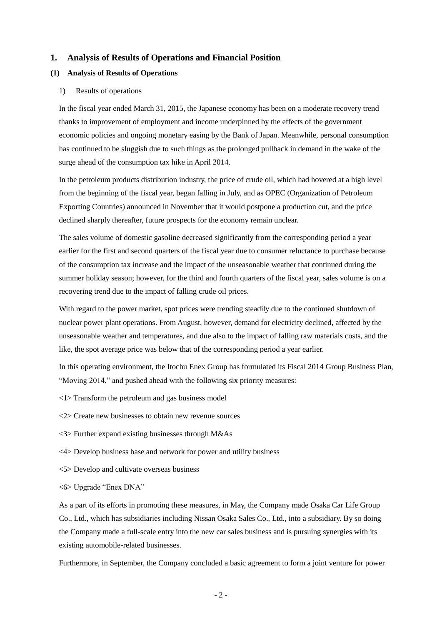#### <span id="page-4-0"></span>**1. Analysis of Results of Operations and Financial Position**

#### <span id="page-4-1"></span>**(1) Analysis of Results of Operations**

#### 1) Results of operations

In the fiscal year ended March 31, 2015, the Japanese economy has been on a moderate recovery trend thanks to improvement of employment and income underpinned by the effects of the government economic policies and ongoing monetary easing by the Bank of Japan. Meanwhile, personal consumption has continued to be sluggish due to such things as the prolonged pullback in demand in the wake of the surge ahead of the consumption tax hike in April 2014.

In the petroleum products distribution industry, the price of crude oil, which had hovered at a high level from the beginning of the fiscal year, began falling in July, and as OPEC (Organization of Petroleum Exporting Countries) announced in November that it would postpone a production cut, and the price declined sharply thereafter, future prospects for the economy remain unclear.

The sales volume of domestic gasoline decreased significantly from the corresponding period a year earlier for the first and second quarters of the fiscal year due to consumer reluctance to purchase because of the consumption tax increase and the impact of the unseasonable weather that continued during the summer holiday season; however, for the third and fourth quarters of the fiscal year, sales volume is on a recovering trend due to the impact of falling crude oil prices.

With regard to the power market, spot prices were trending steadily due to the continued shutdown of nuclear power plant operations. From August, however, demand for electricity declined, affected by the unseasonable weather and temperatures, and due also to the impact of falling raw materials costs, and the like, the spot average price was below that of the corresponding period a year earlier.

In this operating environment, the Itochu Enex Group has formulated its Fiscal 2014 Group Business Plan, "Moving 2014," and pushed ahead with the following six priority measures:

<1> Transform the petroleum and gas business model

<2> Create new businesses to obtain new revenue sources

<3> Further expand existing businesses through M&As

<4> Develop business base and network for power and utility business

<5> Develop and cultivate overseas business

<6> Upgrade "Enex DNA"

As a part of its efforts in promoting these measures, in May, the Company made Osaka Car Life Group Co., Ltd., which has subsidiaries including Nissan Osaka Sales Co., Ltd., into a subsidiary. By so doing the Company made a full-scale entry into the new car sales business and is pursuing synergies with its existing automobile-related businesses.

Furthermore, in September, the Company concluded a basic agreement to form a joint venture for power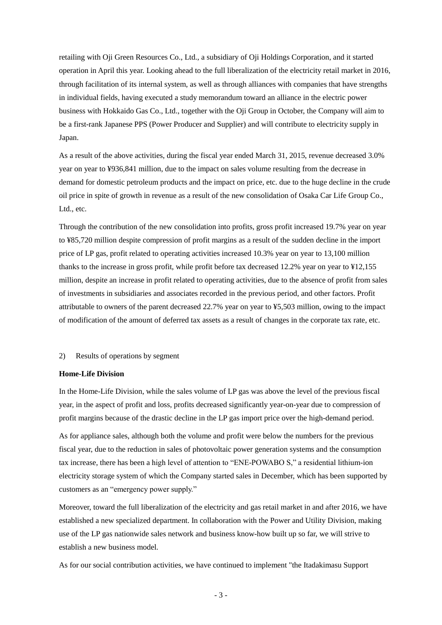retailing with Oji Green Resources Co., Ltd., a subsidiary of Oji Holdings Corporation, and it started operation in April this year. Looking ahead to the full liberalization of the electricity retail market in 2016, through facilitation of its internal system, as well as through alliances with companies that have strengths in individual fields, having executed a study memorandum toward an alliance in the electric power business with Hokkaido Gas Co., Ltd., together with the Oji Group in October, the Company will aim to be a first-rank Japanese PPS (Power Producer and Supplier) and will contribute to electricity supply in Japan.

As a result of the above activities, during the fiscal year ended March 31, 2015, revenue decreased 3.0% year on year to ¥936,841 million, due to the impact on sales volume resulting from the decrease in demand for domestic petroleum products and the impact on price, etc. due to the huge decline in the crude oil price in spite of growth in revenue as a result of the new consolidation of Osaka Car Life Group Co., Ltd., etc.

Through the contribution of the new consolidation into profits, gross profit increased 19.7% year on year to ¥85,720 million despite compression of profit margins as a result of the sudden decline in the import price of LP gas, profit related to operating activities increased 10.3% year on year to 13,100 million thanks to the increase in gross profit, while profit before tax decreased 12.2% year on year to ¥12,155 million, despite an increase in profit related to operating activities, due to the absence of profit from sales of investments in subsidiaries and associates recorded in the previous period, and other factors. Profit attributable to owners of the parent decreased 22.7% year on year to ¥5,503 million, owing to the impact of modification of the amount of deferred tax assets as a result of changes in the corporate tax rate, etc.

#### 2) Results of operations by segment

#### **Home-Life Division**

In the Home-Life Division, while the sales volume of LP gas was above the level of the previous fiscal year, in the aspect of profit and loss, profits decreased significantly year-on-year due to compression of profit margins because of the drastic decline in the LP gas import price over the high-demand period.

As for appliance sales, although both the volume and profit were below the numbers for the previous fiscal year, due to the reduction in sales of photovoltaic power generation systems and the consumption tax increase, there has been a high level of attention to "ENE-POWABO S," a residential lithium-ion electricity storage system of which the Company started sales in December, which has been supported by customers as an "emergency power supply."

Moreover, toward the full liberalization of the electricity and gas retail market in and after 2016, we have established a new specialized department. In collaboration with the Power and Utility Division, making use of the LP gas nationwide sales network and business know-how built up so far, we will strive to establish a new business model.

As for our social contribution activities, we have continued to implement "the Itadakimasu Support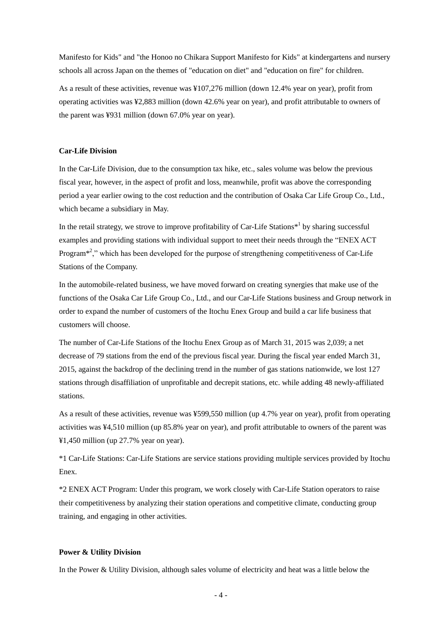Manifesto for Kids" and "the Honoo no Chikara Support Manifesto for Kids" at kindergartens and nursery schools all across Japan on the themes of "education on diet" and "education on fire" for children.

As a result of these activities, revenue was ¥107,276 million (down 12.4% year on year), profit from operating activities was ¥2,883 million (down 42.6% year on year), and profit attributable to owners of the parent was ¥931 million (down 67.0% year on year).

### **Car-Life Division**

In the Car-Life Division, due to the consumption tax hike, etc., sales volume was below the previous fiscal year, however, in the aspect of profit and loss, meanwhile, profit was above the corresponding period a year earlier owing to the cost reduction and the contribution of Osaka Car Life Group Co., Ltd., which became a subsidiary in May.

In the retail strategy, we strove to improve profitability of Car-Life Stations $*$ <sup>1</sup> by sharing successful examples and providing stations with individual support to meet their needs through the "ENEX ACT" Program<sup>\*2</sup>," which has been developed for the purpose of strengthening competitiveness of Car-Life Stations of the Company.

In the automobile-related business, we have moved forward on creating synergies that make use of the functions of the Osaka Car Life Group Co., Ltd., and our Car-Life Stations business and Group network in order to expand the number of customers of the Itochu Enex Group and build a car life business that customers will choose.

The number of Car-Life Stations of the Itochu Enex Group as of March 31, 2015 was 2,039; a net decrease of 79 stations from the end of the previous fiscal year. During the fiscal year ended March 31, 2015, against the backdrop of the declining trend in the number of gas stations nationwide, we lost 127 stations through disaffiliation of unprofitable and decrepit stations, etc. while adding 48 newly-affiliated stations.

As a result of these activities, revenue was ¥599,550 million (up 4.7% year on year), profit from operating activities was ¥4,510 million (up 85.8% year on year), and profit attributable to owners of the parent was ¥1,450 million (up 27.7% year on year).

\*1 Car-Life Stations: Car-Life Stations are service stations providing multiple services provided by Itochu Enex.

\*2 ENEX ACT Program: Under this program, we work closely with Car-Life Station operators to raise their competitiveness by analyzing their station operations and competitive climate, conducting group training, and engaging in other activities.

#### **Power & Utility Division**

In the Power & Utility Division, although sales volume of electricity and heat was a little below the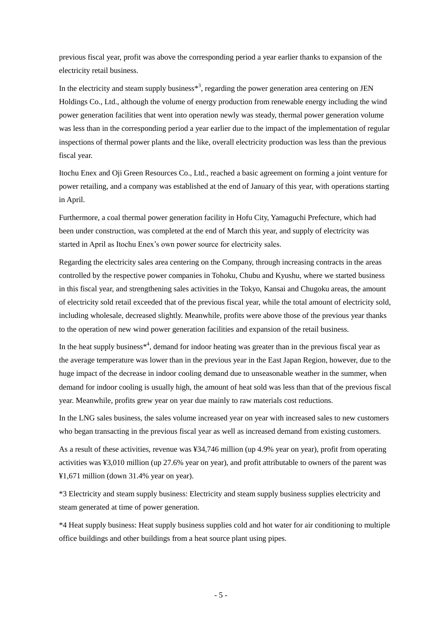previous fiscal year, profit was above the corresponding period a year earlier thanks to expansion of the electricity retail business.

In the electricity and steam supply business<sup> $*$ 3</sup>, regarding the power generation area centering on JEN Holdings Co., Ltd., although the volume of energy production from renewable energy including the wind power generation facilities that went into operation newly was steady, thermal power generation volume was less than in the corresponding period a year earlier due to the impact of the implementation of regular inspections of thermal power plants and the like, overall electricity production was less than the previous fiscal year.

Itochu Enex and Oji Green Resources Co., Ltd., reached a basic agreement on forming a joint venture for power retailing, and a company was established at the end of January of this year, with operations starting in April.

Furthermore, a coal thermal power generation facility in Hofu City, Yamaguchi Prefecture, which had been under construction, was completed at the end of March this year, and supply of electricity was started in April as Itochu Enex's own power source for electricity sales.

Regarding the electricity sales area centering on the Company, through increasing contracts in the areas controlled by the respective power companies in Tohoku, Chubu and Kyushu, where we started business in this fiscal year, and strengthening sales activities in the Tokyo, Kansai and Chugoku areas, the amount of electricity sold retail exceeded that of the previous fiscal year, while the total amount of electricity sold, including wholesale, decreased slightly. Meanwhile, profits were above those of the previous year thanks to the operation of new wind power generation facilities and expansion of the retail business.

In the heat supply business $*<sup>4</sup>$ , demand for indoor heating was greater than in the previous fiscal year as the average temperature was lower than in the previous year in the East Japan Region, however, due to the huge impact of the decrease in indoor cooling demand due to unseasonable weather in the summer, when demand for indoor cooling is usually high, the amount of heat sold was less than that of the previous fiscal year. Meanwhile, profits grew year on year due mainly to raw materials cost reductions.

In the LNG sales business, the sales volume increased year on year with increased sales to new customers who began transacting in the previous fiscal year as well as increased demand from existing customers.

As a result of these activities, revenue was ¥34,746 million (up 4.9% year on year), profit from operating activities was ¥3,010 million (up 27.6% year on year), and profit attributable to owners of the parent was ¥1,671 million (down 31.4% year on year).

\*3 Electricity and steam supply business: Electricity and steam supply business supplies electricity and steam generated at time of power generation.

\*4 Heat supply business: Heat supply business supplies cold and hot water for air conditioning to multiple office buildings and other buildings from a heat source plant using pipes.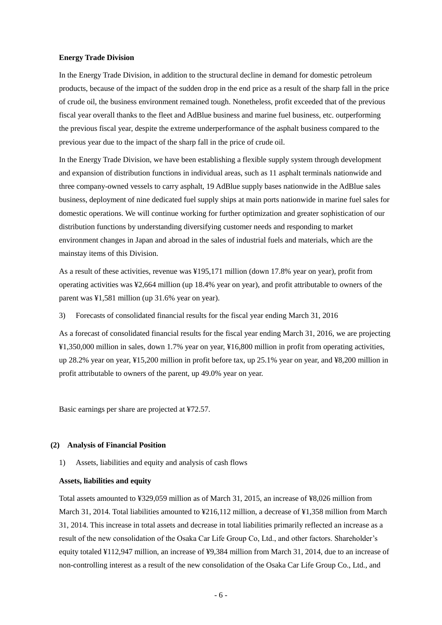#### **Energy Trade Division**

In the Energy Trade Division, in addition to the structural decline in demand for domestic petroleum products, because of the impact of the sudden drop in the end price as a result of the sharp fall in the price of crude oil, the business environment remained tough. Nonetheless, profit exceeded that of the previous fiscal year overall thanks to the fleet and AdBlue business and marine fuel business, etc. outperforming the previous fiscal year, despite the extreme underperformance of the asphalt business compared to the previous year due to the impact of the sharp fall in the price of crude oil.

In the Energy Trade Division, we have been establishing a flexible supply system through development and expansion of distribution functions in individual areas, such as 11 asphalt terminals nationwide and three company-owned vessels to carry asphalt, 19 AdBlue supply bases nationwide in the AdBlue sales business, deployment of nine dedicated fuel supply ships at main ports nationwide in marine fuel sales for domestic operations. We will continue working for further optimization and greater sophistication of our distribution functions by understanding diversifying customer needs and responding to market environment changes in Japan and abroad in the sales of industrial fuels and materials, which are the mainstay items of this Division.

As a result of these activities, revenue was ¥195,171 million (down 17.8% year on year), profit from operating activities was ¥2,664 million (up 18.4% year on year), and profit attributable to owners of the parent was ¥1,581 million (up 31.6% year on year).

3) Forecasts of consolidated financial results for the fiscal year ending March 31, 2016

As a forecast of consolidated financial results for the fiscal year ending March 31, 2016, we are projecting ¥1,350,000 million in sales, down 1.7% year on year, ¥16,800 million in profit from operating activities, up 28.2% year on year, ¥15,200 million in profit before tax, up 25.1% year on year, and ¥8,200 million in profit attributable to owners of the parent, up 49.0% year on year.

Basic earnings per share are projected at ¥72.57.

#### <span id="page-8-0"></span>**(2) Analysis of Financial Position**

1) Assets, liabilities and equity and analysis of cash flows

#### **Assets, liabilities and equity**

Total assets amounted to ¥329,059 million as of March 31, 2015, an increase of ¥8,026 million from March 31, 2014. Total liabilities amounted to ¥216,112 million, a decrease of ¥1,358 million from March 31, 2014. This increase in total assets and decrease in total liabilities primarily reflected an increase as a result of the new consolidation of the Osaka Car Life Group Co, Ltd., and other factors. Shareholder's equity totaled ¥112,947 million, an increase of ¥9,384 million from March 31, 2014, due to an increase of non-controlling interest as a result of the new consolidation of the Osaka Car Life Group Co., Ltd., and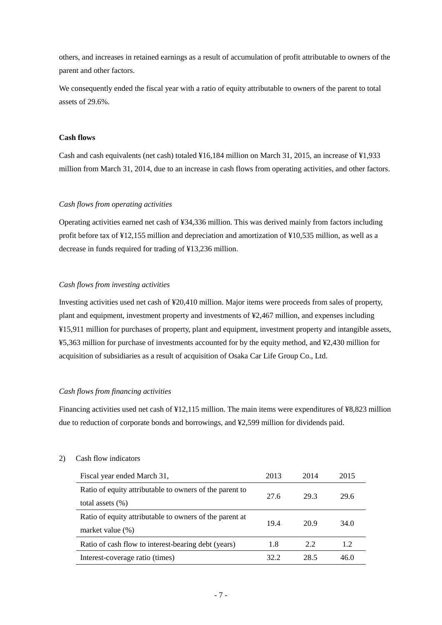others, and increases in retained earnings as a result of accumulation of profit attributable to owners of the parent and other factors.

We consequently ended the fiscal year with a ratio of equity attributable to owners of the parent to total assets of 29.6%.

## **Cash flows**

Cash and cash equivalents (net cash) totaled ¥16,184 million on March 31, 2015, an increase of ¥1,933 million from March 31, 2014, due to an increase in cash flows from operating activities, and other factors.

## *Cash flows from operating activities*

Operating activities earned net cash of ¥34,336 million. This was derived mainly from factors including profit before tax of ¥12,155 million and depreciation and amortization of ¥10,535 million, as well as a decrease in funds required for trading of ¥13,236 million.

## *Cash flows from investing activities*

Investing activities used net cash of ¥20,410 million. Major items were proceeds from sales of property, plant and equipment, investment property and investments of ¥2,467 million, and expenses including ¥15,911 million for purchases of property, plant and equipment, investment property and intangible assets, ¥5,363 million for purchase of investments accounted for by the equity method, and ¥2,430 million for acquisition of subsidiaries as a result of acquisition of Osaka Car Life Group Co., Ltd.

## *Cash flows from financing activities*

Financing activities used net cash of ¥12,115 million. The main items were expenditures of ¥8,823 million due to reduction of corporate bonds and borrowings, and ¥2,599 million for dividends paid.

## 2) Cash flow indicators

| Fiscal year ended March 31,                             | 2013 | 2014 | 2015 |
|---------------------------------------------------------|------|------|------|
| Ratio of equity attributable to owners of the parent to | 27.6 | 29.3 | 29.6 |
| total assets $(\% )$                                    |      |      |      |
| Ratio of equity attributable to owners of the parent at | 19.4 | 20.9 | 34.0 |
| market value $(\%)$                                     |      |      |      |
| Ratio of cash flow to interest-bearing debt (years)     | 1.8  | 2.2  | 1.2  |
| Interest-coverage ratio (times)                         | 32.2 | 28.5 | 46.0 |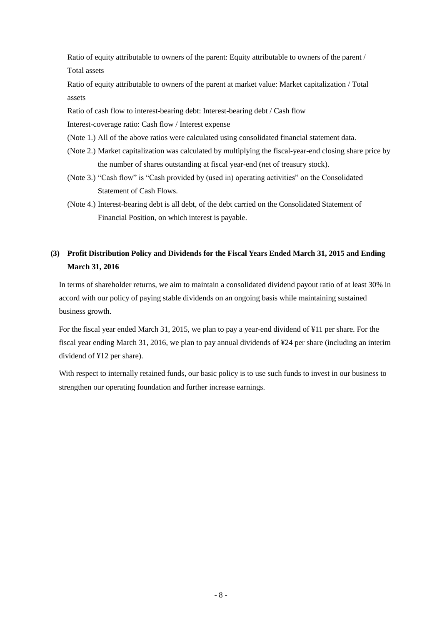Ratio of equity attributable to owners of the parent: Equity attributable to owners of the parent / Total assets

Ratio of equity attributable to owners of the parent at market value: Market capitalization / Total assets

Ratio of cash flow to interest-bearing debt: Interest-bearing debt / Cash flow

Interest-coverage ratio: Cash flow / Interest expense

- (Note 1.) All of the above ratios were calculated using consolidated financial statement data.
- (Note 2.) Market capitalization was calculated by multiplying the fiscal-year-end closing share price by the number of shares outstanding at fiscal year-end (net of treasury stock).
- (Note 3.) "Cash flow" is "Cash provided by (used in) operating activities" on the Consolidated Statement of Cash Flows.
- (Note 4.) Interest-bearing debt is all debt, of the debt carried on the Consolidated Statement of Financial Position, on which interest is payable.

## <span id="page-10-0"></span>**(3) Profit Distribution Policy and Dividends for the Fiscal Years Ended March 31, 2015 and Ending March 31, 2016**

In terms of shareholder returns, we aim to maintain a consolidated dividend payout ratio of at least 30% in accord with our policy of paying stable dividends on an ongoing basis while maintaining sustained business growth.

For the fiscal year ended March 31, 2015, we plan to pay a year-end dividend of ¥11 per share. For the fiscal year ending March 31, 2016, we plan to pay annual dividends of ¥24 per share (including an interim dividend of ¥12 per share).

With respect to internally retained funds, our basic policy is to use such funds to invest in our business to strengthen our operating foundation and further increase earnings.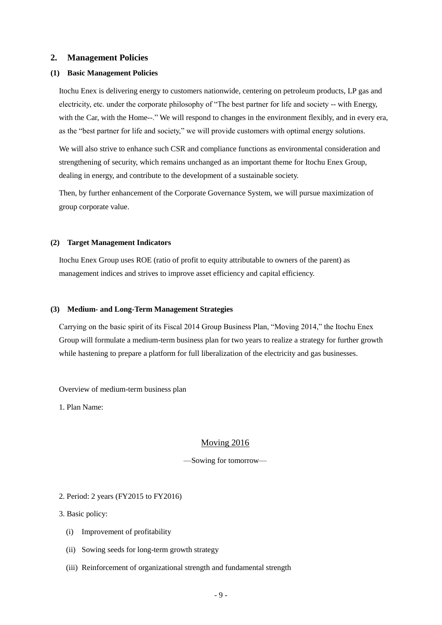## <span id="page-11-0"></span>**2. Management Policies**

### <span id="page-11-1"></span>**(1) Basic Management Policies**

Itochu Enex is delivering energy to customers nationwide, centering on petroleum products, LP gas and electricity, etc. under the corporate philosophy of "The best partner for life and society -- with Energy, with the Car, with the Home--." We will respond to changes in the environment flexibly, and in every era, as the "best partner for life and society," we will provide customers with optimal energy solutions.

We will also strive to enhance such CSR and compliance functions as environmental consideration and strengthening of security, which remains unchanged as an important theme for Itochu Enex Group, dealing in energy, and contribute to the development of a sustainable society.

Then, by further enhancement of the Corporate Governance System, we will pursue maximization of group corporate value.

#### <span id="page-11-2"></span>**(2) Target Management Indicators**

Itochu Enex Group uses ROE (ratio of profit to equity attributable to owners of the parent) as management indices and strives to improve asset efficiency and capital efficiency.

#### <span id="page-11-3"></span>**(3) Medium- and Long-Term Management Strategies**

Carrying on the basic spirit of its Fiscal 2014 Group Business Plan, "Moving 2014," the Itochu Enex Group will formulate a medium-term business plan for two years to realize a strategy for further growth while hastening to prepare a platform for full liberalization of the electricity and gas businesses.

Overview of medium-term business plan

1. Plan Name:

## Moving 2016

—Sowing for tomorrow—

## 2. Period: 2 years (FY2015 to FY2016)

3. Basic policy:

- (i) Improvement of profitability
- (ii) Sowing seeds for long-term growth strategy
- (iii) Reinforcement of organizational strength and fundamental strength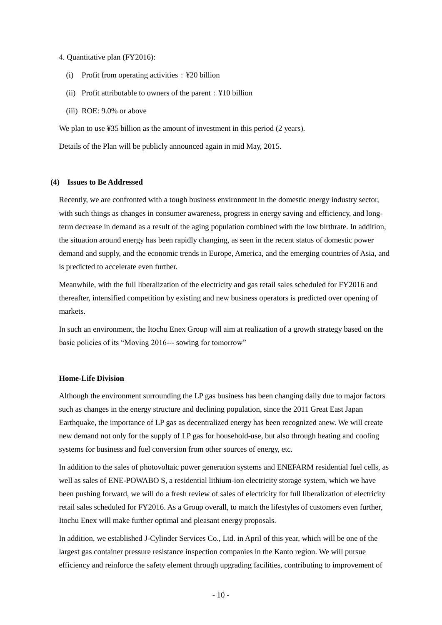#### 4. Quantitative plan (FY2016):

- (i) Profit from operating activities:  $\angle$  ¥20 billion
- (ii) Profit attributable to owners of the parent:  $\angle$  ¥10 billion
- (iii) ROE: 9.0% or above

We plan to use ¥35 billion as the amount of investment in this period (2 years).

Details of the Plan will be publicly announced again in mid May, 2015.

#### <span id="page-12-0"></span>**(4) Issues to Be Addressed**

Recently, we are confronted with a tough business environment in the domestic energy industry sector, with such things as changes in consumer awareness, progress in energy saving and efficiency, and longterm decrease in demand as a result of the aging population combined with the low birthrate. In addition, the situation around energy has been rapidly changing, as seen in the recent status of domestic power demand and supply, and the economic trends in Europe, America, and the emerging countries of Asia, and is predicted to accelerate even further.

Meanwhile, with the full liberalization of the electricity and gas retail sales scheduled for FY2016 and thereafter, intensified competition by existing and new business operators is predicted over opening of markets.

In such an environment, the Itochu Enex Group will aim at realization of a growth strategy based on the basic policies of its "Moving 2016--- sowing for tomorrow"

### **Home-Life Division**

Although the environment surrounding the LP gas business has been changing daily due to major factors such as changes in the energy structure and declining population, since the 2011 Great East Japan Earthquake, the importance of LP gas as decentralized energy has been recognized anew. We will create new demand not only for the supply of LP gas for household-use, but also through heating and cooling systems for business and fuel conversion from other sources of energy, etc.

In addition to the sales of photovoltaic power generation systems and ENEFARM residential fuel cells, as well as sales of ENE-POWABO S, a residential lithium-ion electricity storage system, which we have been pushing forward, we will do a fresh review of sales of electricity for full liberalization of electricity retail sales scheduled for FY2016. As a Group overall, to match the lifestyles of customers even further, Itochu Enex will make further optimal and pleasant energy proposals.

In addition, we established J-Cylinder Services Co., Ltd. in April of this year, which will be one of the largest gas container pressure resistance inspection companies in the Kanto region. We will pursue efficiency and reinforce the safety element through upgrading facilities, contributing to improvement of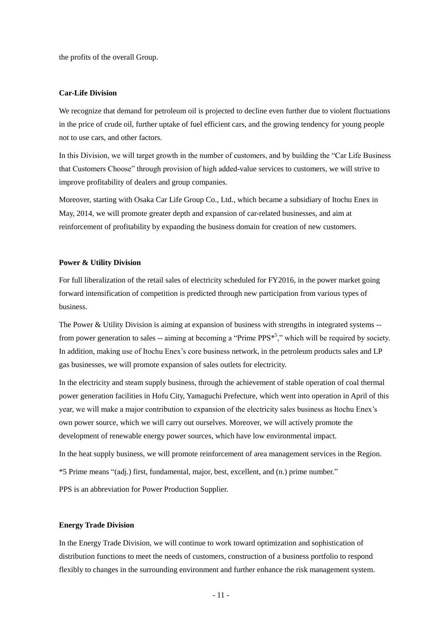the profits of the overall Group.

## **Car-Life Division**

We recognize that demand for petroleum oil is projected to decline even further due to violent fluctuations in the price of crude oil, further uptake of fuel efficient cars, and the growing tendency for young people not to use cars, and other factors.

In this Division, we will target growth in the number of customers, and by building the "Car Life Business" that Customers Choose" through provision of high added-value services to customers, we will strive to improve profitability of dealers and group companies.

Moreover, starting with Osaka Car Life Group Co., Ltd., which became a subsidiary of Itochu Enex in May, 2014, we will promote greater depth and expansion of car-related businesses, and aim at reinforcement of profitability by expanding the business domain for creation of new customers.

#### **Power & Utility Division**

For full liberalization of the retail sales of electricity scheduled for FY2016, in the power market going forward intensification of competition is predicted through new participation from various types of business.

The Power & Utility Division is aiming at expansion of business with strengths in integrated systems - from power generation to sales -- aiming at becoming a "Prime  $PPS^*$ ", which will be required by society. In addition, making use of Itochu Enex's core business network, in the petroleum products sales and LP gas businesses, we will promote expansion of sales outlets for electricity.

In the electricity and steam supply business, through the achievement of stable operation of coal thermal power generation facilities in Hofu City, Yamaguchi Prefecture, which went into operation in April of this year, we will make a major contribution to expansion of the electricity sales business as Itochu Enex's own power source, which we will carry out ourselves. Moreover, we will actively promote the development of renewable energy power sources, which have low environmental impact. In the heat supply business, we will promote reinforcement of area management services in the Region.

\*5 Prime means "(adj.) first, fundamental, major, best, excellent, and (n.) prime number."

PPS is an abbreviation for Power Production Supplier.

#### **Energy Trade Division**

In the Energy Trade Division, we will continue to work toward optimization and sophistication of distribution functions to meet the needs of customers, construction of a business portfolio to respond flexibly to changes in the surrounding environment and further enhance the risk management system.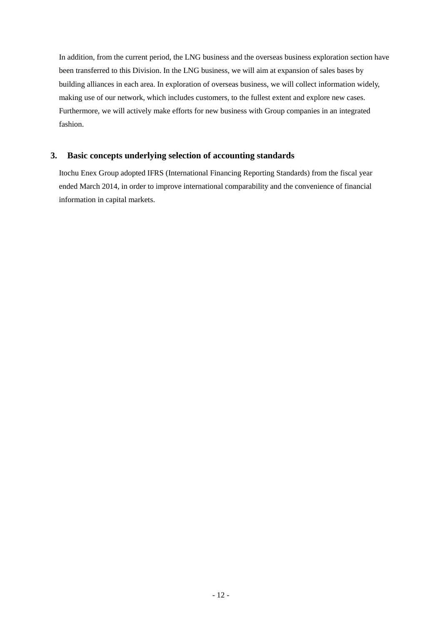In addition, from the current period, the LNG business and the overseas business exploration section have been transferred to this Division. In the LNG business, we will aim at expansion of sales bases by building alliances in each area. In exploration of overseas business, we will collect information widely, making use of our network, which includes customers, to the fullest extent and explore new cases. Furthermore, we will actively make efforts for new business with Group companies in an integrated fashion.

## <span id="page-14-0"></span>**3. Basic concepts underlying selection of accounting standards**

Itochu Enex Group adopted IFRS (International Financing Reporting Standards) from the fiscal year ended March 2014, in order to improve international comparability and the convenience of financial information in capital markets.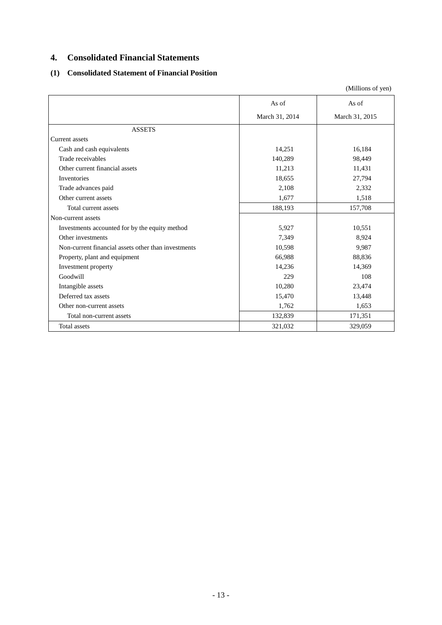## <span id="page-15-0"></span>**4. Consolidated Financial Statements**

## <span id="page-15-1"></span>**(1) Consolidated Statement of Financial Position**

|                                                     |                | (Millions of yen) |
|-----------------------------------------------------|----------------|-------------------|
|                                                     | As of          | As of             |
|                                                     | March 31, 2014 | March 31, 2015    |
| <b>ASSETS</b>                                       |                |                   |
| Current assets                                      |                |                   |
| Cash and cash equivalents                           | 14,251         | 16,184            |
| Trade receivables                                   | 140,289        | 98,449            |
| Other current financial assets                      | 11,213         | 11,431            |
| Inventories                                         | 18,655         | 27,794            |
| Trade advances paid                                 | 2,108          | 2,332             |
| Other current assets                                | 1,677          | 1,518             |
| Total current assets                                | 188,193        | 157,708           |
| Non-current assets                                  |                |                   |
| Investments accounted for by the equity method      | 5,927          | 10,551            |
| Other investments                                   | 7,349          | 8,924             |
| Non-current financial assets other than investments | 10,598         | 9,987             |
| Property, plant and equipment                       | 66,988         | 88,836            |
| Investment property                                 | 14,236         | 14,369            |
| Goodwill                                            | 229            | 108               |
| Intangible assets                                   | 10,280         | 23,474            |
| Deferred tax assets                                 | 15,470         | 13,448            |
| Other non-current assets                            | 1,762          | 1,653             |
| Total non-current assets                            | 132,839        | 171,351           |
| Total assets                                        | 321,032        | 329,059           |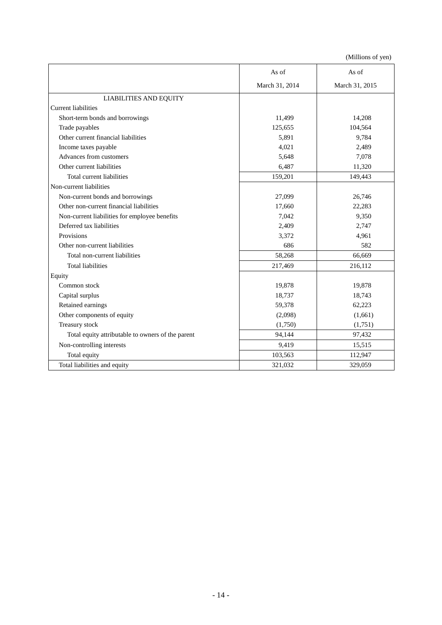|                                                   | As of          | As of          |
|---------------------------------------------------|----------------|----------------|
|                                                   | March 31, 2014 | March 31, 2015 |
| LIABILITIES AND EQUITY                            |                |                |
| <b>Current liabilities</b>                        |                |                |
| Short-term bonds and borrowings                   | 11,499         | 14,208         |
| Trade payables                                    | 125,655        | 104,564        |
| Other current financial liabilities               | 5,891          | 9,784          |
| Income taxes payable                              | 4,021          | 2,489          |
| Advances from customers                           | 5,648          | 7,078          |
| Other current liabilities                         | 6,487          | 11,320         |
| Total current liabilities                         | 159,201        | 149,443        |
| Non-current liabilities                           |                |                |
| Non-current bonds and borrowings                  | 27,099         | 26,746         |
| Other non-current financial liabilities           | 17,660         | 22,283         |
| Non-current liabilities for employee benefits     | 7,042          | 9,350          |
| Deferred tax liabilities                          | 2,409          | 2,747          |
| Provisions                                        | 3,372          | 4,961          |
| Other non-current liabilities                     | 686            | 582            |
| Total non-current liabilities                     | 58,268         | 66,669         |
| <b>Total liabilities</b>                          | 217,469        | 216,112        |
| Equity                                            |                |                |
| Common stock                                      | 19,878         | 19,878         |
| Capital surplus                                   | 18,737         | 18,743         |
| Retained earnings                                 | 59,378         | 62,223         |
| Other components of equity                        | (2,098)        | (1,661)        |
| Treasury stock                                    | (1,750)        | (1,751)        |
| Total equity attributable to owners of the parent | 94,144         | 97,432         |
| Non-controlling interests                         | 9,419          | 15,515         |
| Total equity                                      | 103,563        | 112,947        |
| Total liabilities and equity                      | 321,032        | 329,059        |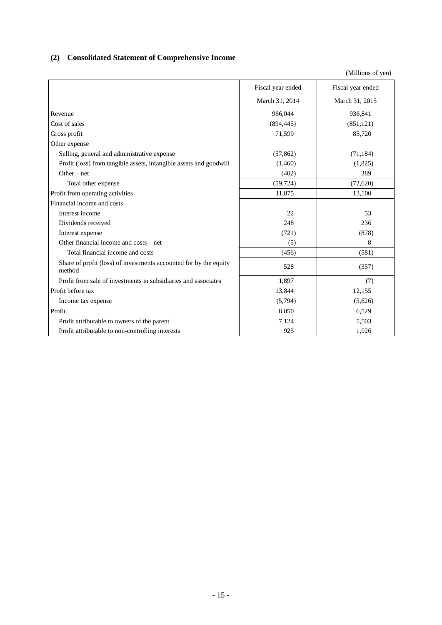## <span id="page-17-0"></span>**(2) Consolidated Statement of Comprehensive Income**

|                                                                             | Fiscal year ended | Fiscal year ended |
|-----------------------------------------------------------------------------|-------------------|-------------------|
|                                                                             | March 31, 2014    | March 31, 2015    |
| Revenue                                                                     | 966,044           | 936,841           |
| Cost of sales                                                               | (894, 445)        | (851, 121)        |
| Gross profit                                                                | 71,599            | 85,720            |
| Other expense                                                               |                   |                   |
| Selling, general and administrative expense                                 | (57, 862)         | (71, 184)         |
| Profit (loss) from tangible assets, intangible assets and goodwill          | (1,460)           | (1,825)           |
| Other $-$ net                                                               | (402)             | 389               |
| Total other expense                                                         | (59, 724)         | (72,620)          |
| Profit from operating activities                                            | 11,875            | 13,100            |
| Financial income and costs                                                  |                   |                   |
| Interest income                                                             | 22                | 53                |
| Dividends received                                                          | 248               | 236               |
| Interest expense                                                            | (721)             | (878)             |
| Other financial income and costs – net                                      | (5)               | 8                 |
| Total financial income and costs                                            | (456)             | (581)             |
| Share of profit (loss) of investments accounted for by the equity<br>method | 528               | (357)             |
| Profit from sale of investments in subsidiaries and associates              | 1,897             | (7)               |
| Profit before tax                                                           | 13,844            | 12,155            |
| Income tax expense                                                          | (5,794)           | (5,626)           |
| Profit                                                                      | 8,050             | 6,529             |
| Profit attributable to owners of the parent                                 | 7,124             | 5,503             |
| Profit attributable to non-controlling interests                            | 925               | 1,026             |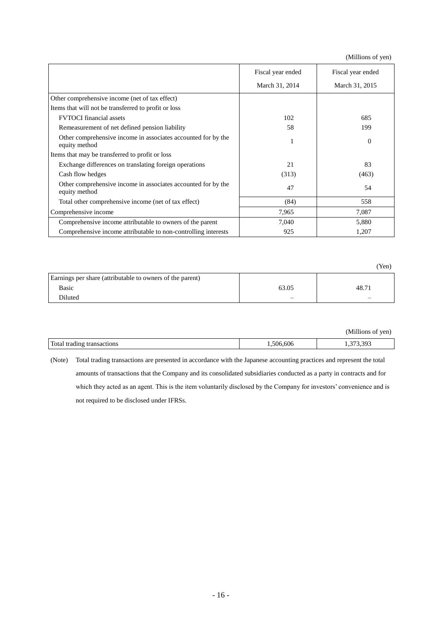(Millions of yen)

|                                                                                | Fiscal year ended | Fiscal year ended |
|--------------------------------------------------------------------------------|-------------------|-------------------|
|                                                                                | March 31, 2014    | March 31, 2015    |
| Other comprehensive income (net of tax effect)                                 |                   |                   |
| Items that will not be transferred to profit or loss                           |                   |                   |
| <b>FVTOCI</b> financial assets                                                 | 102               | 685               |
| Remeasurement of net defined pension liability                                 | 58                | 199               |
| Other comprehensive income in associates accounted for by the<br>equity method |                   | $\Omega$          |
| Items that may be transferred to profit or loss                                |                   |                   |
| Exchange differences on translating foreign operations                         | 21                | 83                |
| Cash flow hedges                                                               | (313)             | (463)             |
| Other comprehensive income in associates accounted for by the<br>equity method | 47                | 54                |
| Total other comprehensive income (net of tax effect)                           | (84)              | 558               |
| Comprehensive income                                                           | 7,965             | 7,087             |
| Comprehensive income attributable to owners of the parent                      | 7,040             | 5,880             |
| Comprehensive income attributable to non-controlling interests                 | 925               | 1,207             |

|                                                           |       | (Yen)                    |
|-----------------------------------------------------------|-------|--------------------------|
| Earnings per share (attributable to owners of the parent) |       |                          |
| Basic                                                     | 63.05 | 48.71                    |
| Diluted                                                   |       | $\overline{\phantom{a}}$ |

|                            |          | (Millions of yen) |
|----------------------------|----------|-------------------|
| Total trading transactions | ,506,606 | 1,373,393         |

(Note) Total trading transactions are presented in accordance with the Japanese accounting practices and represent the total amounts of transactions that the Company and its consolidated subsidiaries conducted as a party in contracts and for which they acted as an agent. This is the item voluntarily disclosed by the Company for investors' convenience and is not required to be disclosed under IFRSs.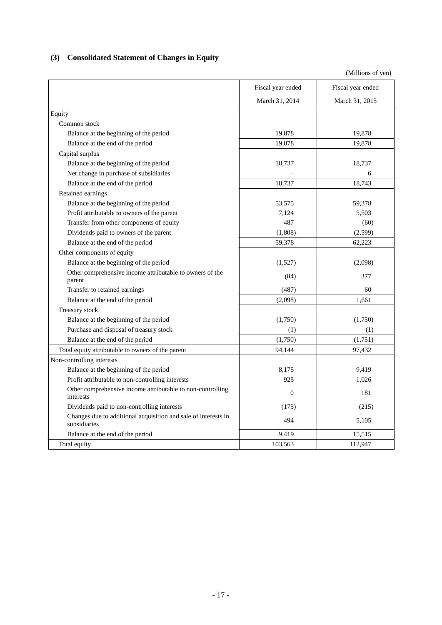## <span id="page-19-0"></span>**(3) Consolidated Statement of Changes in Equity**

|                                                                                | Fiscal year ended | Fiscal year ended |
|--------------------------------------------------------------------------------|-------------------|-------------------|
|                                                                                | March 31, 2014    | March 31, 2015    |
| Equity                                                                         |                   |                   |
| Common stock                                                                   |                   |                   |
| Balance at the beginning of the period                                         | 19,878            | 19,878            |
| Balance at the end of the period                                               | 19,878            | 19,878            |
| Capital surplus                                                                |                   |                   |
| Balance at the beginning of the period                                         | 18,737            | 18,737            |
| Net change in purchase of subsidiaries                                         |                   | 6                 |
| Balance at the end of the period                                               | 18,737            | 18,743            |
| Retained earnings                                                              |                   |                   |
| Balance at the beginning of the period                                         | 53,575            | 59,378            |
| Profit attributable to owners of the parent                                    | 7,124             | 5,503             |
| Transfer from other components of equity                                       | 487               | (60)              |
| Dividends paid to owners of the parent                                         | (1,808)           | (2,599)           |
| Balance at the end of the period                                               | 59,378            | 62,223            |
| Other components of equity                                                     |                   |                   |
| Balance at the beginning of the period                                         | (1,527)           | (2,098)           |
| Other comprehensive income attributable to owners of the<br>parent             | (84)              | 377               |
| Transfer to retained earnings                                                  | (487)             | 60                |
| Balance at the end of the period                                               | (2,098)           | 1,661             |
| Treasury stock                                                                 |                   |                   |
| Balance at the beginning of the period                                         | (1,750)           | (1,750)           |
| Purchase and disposal of treasury stock                                        | (1)               | (1)               |
| Balance at the end of the period                                               | (1,750)           | (1,751)           |
| Total equity attributable to owners of the parent                              | 94,144            | 97,432            |
| Non-controlling interests                                                      |                   |                   |
| Balance at the beginning of the period                                         | 8,175             | 9,419             |
| Profit attributable to non-controlling interests                               | 925               | 1,026             |
| Other comprehensive income attributable to non-controlling<br>interests        | $\theta$          | 181               |
| Dividends paid to non-controlling interests                                    | (175)             | (215)             |
| Changes due to additional acquisition and sale of interests in<br>subsidiaries | 494               | 5,105             |
| Balance at the end of the period                                               | 9,419             | 15,515            |
| Total equity                                                                   | 103,563           | 112,947           |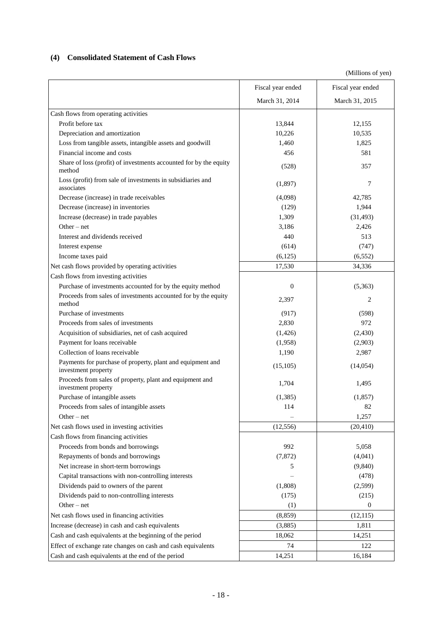## <span id="page-20-0"></span>**(4) Consolidated Statement of Cash Flows**

|                                                                                   | Fiscal year ended | Fiscal year ended |
|-----------------------------------------------------------------------------------|-------------------|-------------------|
|                                                                                   | March 31, 2014    | March 31, 2015    |
| Cash flows from operating activities                                              |                   |                   |
| Profit before tax                                                                 | 13,844            | 12,155            |
| Depreciation and amortization                                                     | 10,226            | 10,535            |
| Loss from tangible assets, intangible assets and goodwill                         | 1,460             | 1,825             |
| Financial income and costs                                                        | 456               | 581               |
| Share of loss (profit) of investments accounted for by the equity<br>method       | (528)             | 357               |
| Loss (profit) from sale of investments in subsidiaries and<br>associates          | (1,897)           | 7                 |
| Decrease (increase) in trade receivables                                          | (4,098)           | 42,785            |
| Decrease (increase) in inventories                                                | (129)             | 1,944             |
| Increase (decrease) in trade payables                                             | 1,309             | (31, 493)         |
| Other $-$ net                                                                     | 3,186             | 2,426             |
| Interest and dividends received                                                   | 440               | 513               |
| Interest expense                                                                  | (614)             | (747)             |
| Income taxes paid                                                                 | (6,125)           | (6, 552)          |
| Net cash flows provided by operating activities                                   | 17,530            | 34,336            |
| Cash flows from investing activities                                              |                   |                   |
| Purchase of investments accounted for by the equity method                        | $\mathbf{0}$      | (5,363)           |
| Proceeds from sales of investments accounted for by the equity<br>method          | 2,397             | 2                 |
| Purchase of investments                                                           | (917)             | (598)             |
| Proceeds from sales of investments                                                | 2,830             | 972               |
| Acquisition of subsidiaries, net of cash acquired                                 | (1,426)           | (2,430)           |
| Payment for loans receivable                                                      | (1,958)           | (2,903)           |
| Collection of loans receivable                                                    | 1,190             | 2,987             |
| Payments for purchase of property, plant and equipment and<br>investment property | (15, 105)         | (14, 054)         |
| Proceeds from sales of property, plant and equipment and<br>investment property   | 1,704             | 1,495             |
| Purchase of intangible assets                                                     | (1, 385)          | (1,857)           |
| Proceeds from sales of intangible assets                                          | 114               | 82                |
| Other $-$ net                                                                     |                   | 1,257             |
| Net cash flows used in investing activities                                       | (12, 556)         | (20, 410)         |
| Cash flows from financing activities                                              |                   |                   |
| Proceeds from bonds and borrowings                                                | 992               | 5,058             |
| Repayments of bonds and borrowings                                                | (7, 872)          | (4,041)           |
| Net increase in short-term borrowings                                             | 5                 | (9, 840)          |
| Capital transactions with non-controlling interests                               |                   | (478)             |
| Dividends paid to owners of the parent                                            | (1,808)           | (2,599)           |
| Dividends paid to non-controlling interests                                       | (175)             | (215)             |
| Other $-$ net                                                                     | (1)               | $\mathbf{0}$      |
| Net cash flows used in financing activities                                       | (8, 859)          | (12, 115)         |
| Increase (decrease) in cash and cash equivalents                                  | (3,885)           | 1,811             |
| Cash and cash equivalents at the beginning of the period                          | 18,062            | 14,251            |
| Effect of exchange rate changes on cash and cash equivalents                      | 74                | 122               |
| Cash and cash equivalents at the end of the period                                | 14,251            | 16,184            |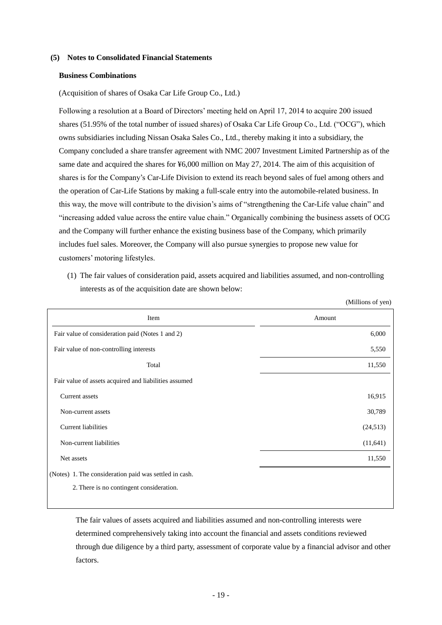#### <span id="page-21-0"></span>**(5) Notes to Consolidated Financial Statements**

#### <span id="page-21-1"></span>**Business Combinations**

(Acquisition of shares of Osaka Car Life Group Co., Ltd.)

Following a resolution at a Board of Directors' meeting held on April 17, 2014 to acquire 200 issued shares (51.95% of the total number of issued shares) of Osaka Car Life Group Co., Ltd. ("OCG"), which owns subsidiaries including Nissan Osaka Sales Co., Ltd., thereby making it into a subsidiary, the Company concluded a share transfer agreement with NMC 2007 Investment Limited Partnership as of the same date and acquired the shares for ¥6,000 million on May 27, 2014. The aim of this acquisition of shares is for the Company's Car-Life Division to extend its reach beyond sales of fuel among others and the operation of Car-Life Stations by making a full-scale entry into the automobile-related business. In this way, the move will contribute to the division's aims of "strengthening the Car-Life value chain" and ―increasing added value across the entire value chain.‖ Organically combining the business assets of OCG and the Company will further enhance the existing business base of the Company, which primarily includes fuel sales. Moreover, the Company will also pursue synergies to propose new value for customers' motoring lifestyles.

(1) The fair values of consideration paid, assets acquired and liabilities assumed, and non-controlling interests as of the acquisition date are shown below:

(Millions of yen)

| Item                                                   | Amount    |
|--------------------------------------------------------|-----------|
| Fair value of consideration paid (Notes 1 and 2)       | 6,000     |
| Fair value of non-controlling interests                | 5,550     |
| Total                                                  | 11,550    |
| Fair value of assets acquired and liabilities assumed  |           |
| Current assets                                         | 16,915    |
| Non-current assets                                     | 30,789    |
| <b>Current liabilities</b>                             | (24,513)  |
| Non-current liabilities                                | (11, 641) |
| Net assets                                             | 11,550    |
| (Notes) 1. The consideration paid was settled in cash. |           |
| 2. There is no contingent consideration.               |           |
|                                                        |           |

The fair values of assets acquired and liabilities assumed and non-controlling interests were determined comprehensively taking into account the financial and assets conditions reviewed through due diligence by a third party, assessment of corporate value by a financial advisor and other factors.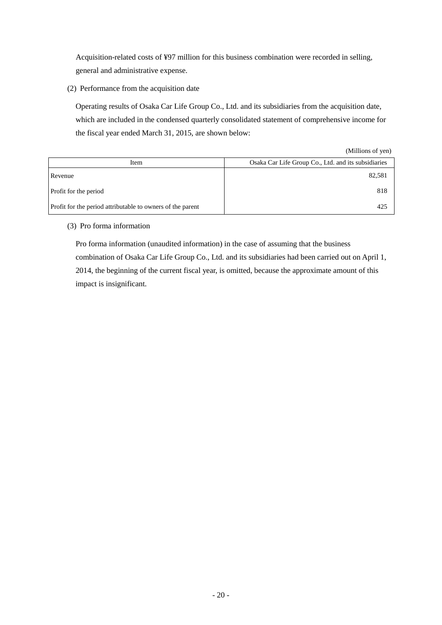Acquisition-related costs of ¥97 million for this business combination were recorded in selling, general and administrative expense.

(2) Performance from the acquisition date

Operating results of Osaka Car Life Group Co., Ltd. and its subsidiaries from the acquisition date, which are included in the condensed quarterly consolidated statement of comprehensive income for the fiscal year ended March 31, 2015, are shown below:

| (Millions of yen) |  |
|-------------------|--|
|-------------------|--|

| Item                                                       | Osaka Car Life Group Co., Ltd. and its subsidiaries |
|------------------------------------------------------------|-----------------------------------------------------|
| Revenue                                                    | 82,581                                              |
| Profit for the period                                      | 818                                                 |
| Profit for the period attributable to owners of the parent | 425                                                 |

## (3) Pro forma information

Pro forma information (unaudited information) in the case of assuming that the business combination of Osaka Car Life Group Co., Ltd. and its subsidiaries had been carried out on April 1, 2014, the beginning of the current fiscal year, is omitted, because the approximate amount of this impact is insignificant.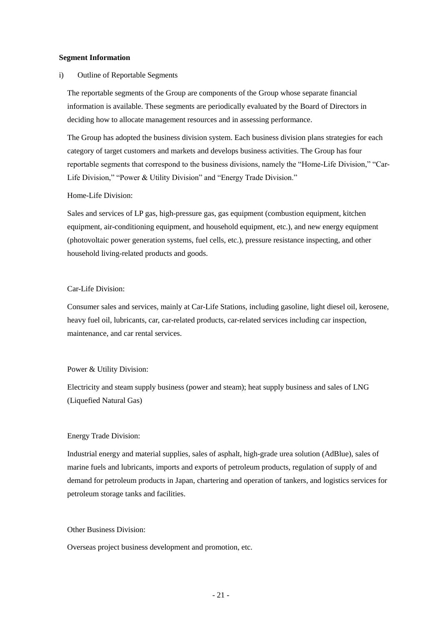#### <span id="page-23-0"></span>**Segment Information**

#### i) Outline of Reportable Segments

The reportable segments of the Group are components of the Group whose separate financial information is available. These segments are periodically evaluated by the Board of Directors in deciding how to allocate management resources and in assessing performance.

The Group has adopted the business division system. Each business division plans strategies for each category of target customers and markets and develops business activities. The Group has four reportable segments that correspond to the business divisions, namely the "Home-Life Division," "Car-Life Division," "Power & Utility Division" and "Energy Trade Division."

#### Home-Life Division:

Sales and services of LP gas, high-pressure gas, gas equipment (combustion equipment, kitchen equipment, air-conditioning equipment, and household equipment, etc.), and new energy equipment (photovoltaic power generation systems, fuel cells, etc.), pressure resistance inspecting, and other household living-related products and goods.

#### Car-Life Division:

Consumer sales and services, mainly at Car-Life Stations, including gasoline, light diesel oil, kerosene, heavy fuel oil, lubricants, car, car-related products, car-related services including car inspection, maintenance, and car rental services.

#### Power & Utility Division:

Electricity and steam supply business (power and steam); heat supply business and sales of LNG (Liquefied Natural Gas)

#### Energy Trade Division:

Industrial energy and material supplies, sales of asphalt, high-grade urea solution (AdBlue), sales of marine fuels and lubricants, imports and exports of petroleum products, regulation of supply of and demand for petroleum products in Japan, chartering and operation of tankers, and logistics services for petroleum storage tanks and facilities.

#### Other Business Division:

Overseas project business development and promotion, etc.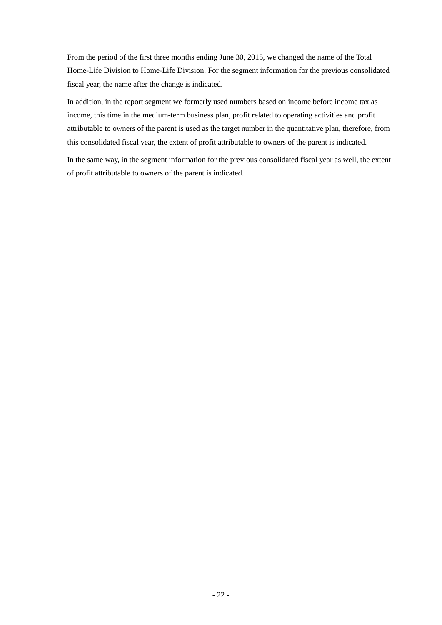From the period of the first three months ending June 30, 2015, we changed the name of the Total Home-Life Division to Home-Life Division. For the segment information for the previous consolidated fiscal year, the name after the change is indicated.

In addition, in the report segment we formerly used numbers based on income before income tax as income, this time in the medium-term business plan, profit related to operating activities and profit attributable to owners of the parent is used as the target number in the quantitative plan, therefore, from this consolidated fiscal year, the extent of profit attributable to owners of the parent is indicated.

In the same way, in the segment information for the previous consolidated fiscal year as well, the extent of profit attributable to owners of the parent is indicated.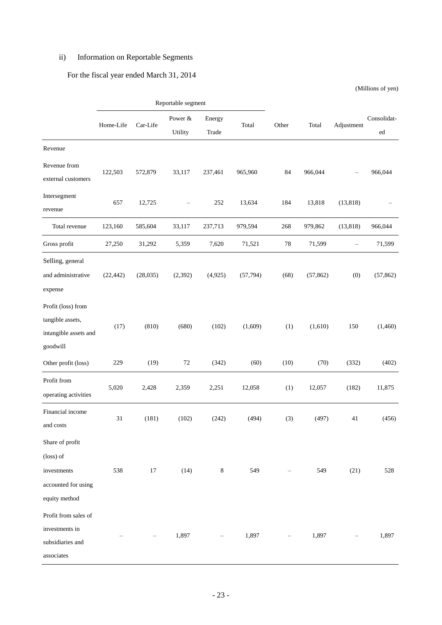## ii) Information on Reportable Segments

## For the fiscal year ended March 31, 2014

|                                                                                     | Reportable segment |          |                          |                 |           |       |           |                   |                   |
|-------------------------------------------------------------------------------------|--------------------|----------|--------------------------|-----------------|-----------|-------|-----------|-------------------|-------------------|
|                                                                                     | Home-Life          | Car-Life | Power &<br>Utility       | Energy<br>Trade | Total     | Other | Total     | Adjustment        | Consolidat-<br>ed |
| Revenue                                                                             |                    |          |                          |                 |           |       |           |                   |                   |
| Revenue from<br>external customers                                                  | 122,503            | 572,879  | 33,117                   | 237,461         | 965,960   | 84    | 966,044   |                   | 966,044           |
| Intersegment<br>revenue                                                             | 657                | 12,725   | $\overline{\phantom{0}}$ | 252             | 13,634    | 184   | 13,818    | (13, 818)         |                   |
| Total revenue                                                                       | 123,160            | 585,604  | 33,117                   | 237,713         | 979,594   | 268   | 979,862   | (13, 818)         | 966,044           |
| Gross profit                                                                        | 27,250             | 31,292   | 5,359                    | 7,620           | 71,521    | 78    | 71,599    | $\qquad \qquad -$ | 71,599            |
| Selling, general<br>and administrative<br>expense                                   | (22, 442)          | (28,035) | (2, 392)                 | (4,925)         | (57, 794) | (68)  | (57, 862) | (0)               | (57, 862)         |
| Profit (loss) from<br>tangible assets,<br>intangible assets and<br>goodwill         | (17)               | (810)    | (680)                    | (102)           | (1,609)   | (1)   | (1,610)   | 150               | (1,460)           |
| Other profit (loss)                                                                 | 229                | (19)     | 72                       | (342)           | (60)      | (10)  | (70)      | (332)             | (402)             |
| Profit from<br>operating activities                                                 | 5,020              | 2,428    | 2,359                    | 2,251           | 12,058    | (1)   | 12,057    | (182)             | 11,875            |
| Financial income<br>and costs                                                       | 31                 | (181)    | (102)                    | (242)           | (494)     | (3)   | (497)     | 41                | (456)             |
| Share of profit<br>(loss) of<br>investments<br>accounted for using<br>equity method | 538                | $17\,$   | (14)                     | 8               | 549       |       | 549       | (21)              | 528               |
| Profit from sales of<br>investments in<br>subsidiaries and<br>associates            |                    |          | 1,897                    |                 | 1,897     |       | 1,897     |                   | 1,897             |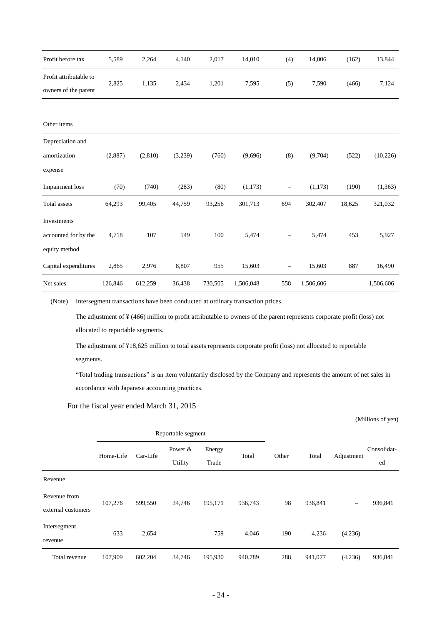| Profit before tax                                    | 5,589   | 2,264   | 4,140   | 2,017   | 14,010    | (4)               | 14,006    | (162)  | 13,844    |
|------------------------------------------------------|---------|---------|---------|---------|-----------|-------------------|-----------|--------|-----------|
| Profit attributable to<br>owners of the parent       | 2,825   | 1,135   | 2,434   | 1,201   | 7,595     | (5)               | 7,590     | (466)  | 7,124     |
| Other items                                          |         |         |         |         |           |                   |           |        |           |
| Depreciation and<br>amortization<br>expense          | (2,887) | (2,810) | (3,239) | (760)   | (9,696)   | (8)               | (9,704)   | (522)  | (10, 226) |
| Impairment loss                                      | (70)    | (740)   | (283)   | (80)    | (1,173)   | $\qquad \qquad -$ | (1,173)   | (190)  | (1, 363)  |
| Total assets                                         | 64,293  | 99,405  | 44,759  | 93,256  | 301,713   | 694               | 302,407   | 18,625 | 321,032   |
| Investments<br>accounted for by the<br>equity method | 4,718   | 107     | 549     | 100     | 5,474     |                   | 5,474     | 453    | 5,927     |
| Capital expenditures                                 | 2,865   | 2,976   | 8,807   | 955     | 15,603    | $\qquad \qquad -$ | 15,603    | 887    | 16,490    |
| Net sales                                            | 126,846 | 612,259 | 36,438  | 730,505 | 1,506,048 | 558               | 1,506,606 |        | 1,506,606 |

(Note) Intersegment transactions have been conducted at ordinary transaction prices.

The adjustment of ¥ (466) million to profit attributable to owners of the parent represents corporate profit (loss) not allocated to reportable segments.

The adjustment of ¥18,625 million to total assets represents corporate profit (loss) not allocated to reportable segments.

―Total trading transactions‖ is an item voluntarily disclosed by the Company and represents the amount of net sales in accordance with Japanese accounting practices.

For the fiscal year ended March 31, 2015

|                    | Reportable segment |          |                                     |         |         |            |                   |                          |         |
|--------------------|--------------------|----------|-------------------------------------|---------|---------|------------|-------------------|--------------------------|---------|
|                    | Home-Life          | Car-Life | Power &<br>Energy<br>Total<br>Other |         | Total   | Adjustment | Consolidat-<br>ed |                          |         |
|                    |                    |          | Utility                             | Trade   |         |            |                   |                          |         |
| Revenue            |                    |          |                                     |         |         |            |                   |                          |         |
| Revenue from       | 107,276            | 599,550  | 34,746                              | 195,171 | 936,743 | 98         | 936,841           |                          | 936,841 |
| external customers |                    |          |                                     |         |         |            |                   | $\overline{\phantom{m}}$ |         |
| Intersegment       |                    |          |                                     |         |         |            |                   |                          |         |
| revenue            | 633                | 2,654    | $\overline{\phantom{m}}$            | 759     | 4,046   | 190        | 4,236             | (4,236)                  |         |
| Total revenue      | 107,909            | 602,204  | 34,746                              | 195,930 | 940,789 | 288        | 941,077           | (4,236)                  | 936,841 |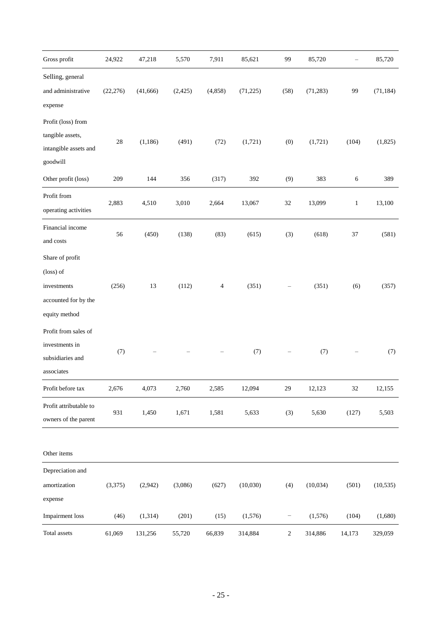| Gross profit                                                                         | 24,922    | 47,218   | 5,570    | 7,911    | 85,621    | 99                | 85,720    |              | 85,720    |
|--------------------------------------------------------------------------------------|-----------|----------|----------|----------|-----------|-------------------|-----------|--------------|-----------|
| Selling, general<br>and administrative<br>expense                                    | (22, 276) | (41,666) | (2, 425) | (4, 858) | (71, 225) | (58)              | (71, 283) | 99           | (71, 184) |
| Profit (loss) from<br>tangible assets,<br>intangible assets and<br>goodwill          | 28        | (1, 186) | (491)    | (72)     | (1,721)   | (0)               | (1,721)   | (104)        | (1,825)   |
| Other profit (loss)                                                                  | 209       | 144      | 356      | (317)    | 392       | (9)               | 383       | 6            | 389       |
| Profit from<br>operating activities                                                  | 2,883     | 4,510    | 3,010    | 2,664    | 13,067    | $32\,$            | 13,099    | $\mathbf{1}$ | 13,100    |
| Financial income<br>and costs                                                        | 56        | (450)    | (138)    | (83)     | (615)     | (3)               | (618)     | 37           | (581)     |
| Share of profit<br>(loss) of<br>investments<br>accounted for by the<br>equity method | (256)     | 13       | (112)    | 4        | (351)     |                   | (351)     | (6)          | (357)     |
| Profit from sales of<br>investments in<br>subsidiaries and<br>associates             | (7)       |          |          |          | (7)       |                   | (7)       |              | (7)       |
| Profit before tax                                                                    | 2,676     | 4,073    | 2,760    | 2,585    | 12,094    | 29                | 12,123    | 32           | 12,155    |
| Profit attributable to<br>owners of the parent                                       | 931       | 1,450    | 1,671    | 1,581    | 5,633     | (3)               | 5,630     | (127)        | 5,503     |
| Other items                                                                          |           |          |          |          |           |                   |           |              |           |
| Depreciation and<br>amortization<br>expense                                          | (3,375)   | (2,942)  | (3,086)  | (627)    | (10,030)  | (4)               | (10,034)  | (501)        | (10, 535) |
| Impairment loss                                                                      | (46)      | (1, 314) | (201)    | (15)     | (1,576)   | $\qquad \qquad -$ | (1,576)   | (104)        | (1,680)   |
| Total assets                                                                         | 61,069    | 131,256  | 55,720   | 66,839   | 314,884   | $\sqrt{2}$        | 314,886   | 14,173       | 329,059   |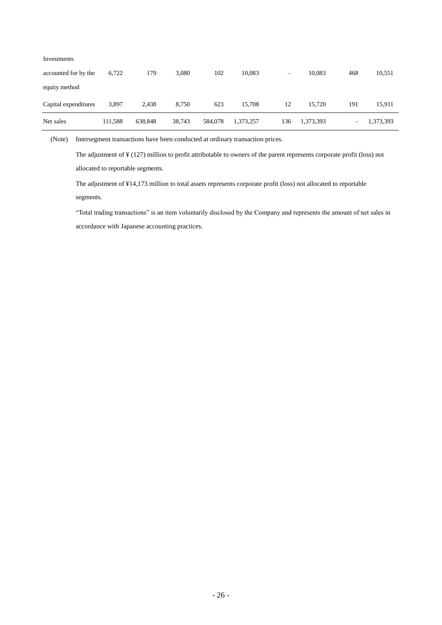| Investments          |         |         |        |         |           |     |           |     |           |
|----------------------|---------|---------|--------|---------|-----------|-----|-----------|-----|-----------|
| accounted for by the | 6,722   | 179     | 3,080  | 102     | 10,083    | -   | 10.083    | 468 | 10,551    |
| equity method        |         |         |        |         |           |     |           |     |           |
| Capital expenditures | 3,897   | 2,438   | 8,750  | 623     | 15,708    | 12  | 15.720    | 191 | 15,911    |
| Net sales            | 111,588 | 638,848 | 38,743 | 584,078 | 1,373,257 | 136 | 1,373,393 | —   | 1,373,393 |

(Note) Intersegment transactions have been conducted at ordinary transaction prices.

The adjustment of ¥ (127) million to profit attributable to owners of the parent represents corporate profit (loss) not allocated to reportable segments.

The adjustment of ¥14,173 million to total assets represents corporate profit (loss) not allocated to reportable segments.

―Total trading transactions‖ is an item voluntarily disclosed by the Company and represents the amount of net sales in accordance with Japanese accounting practices.